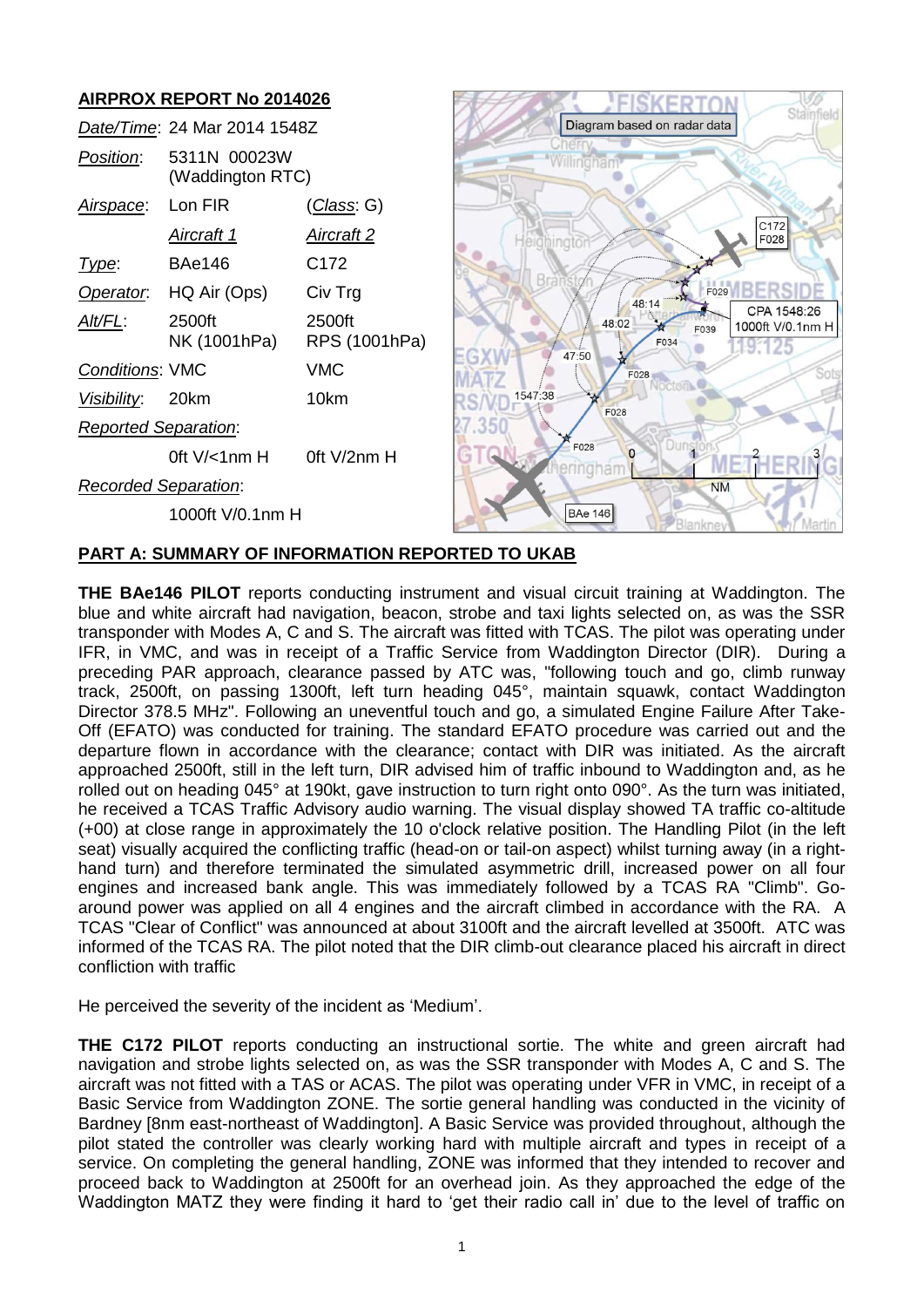

# **PART A: SUMMARY OF INFORMATION REPORTED TO UKAB**

**THE BAe146 PILOT** reports conducting instrument and visual circuit training at Waddington. The blue and white aircraft had navigation, beacon, strobe and taxi lights selected on, as was the SSR transponder with Modes A, C and S. The aircraft was fitted with TCAS. The pilot was operating under IFR, in VMC, and was in receipt of a Traffic Service from Waddington Director (DIR). During a preceding PAR approach, clearance passed by ATC was, "following touch and go, climb runway track, 2500ft, on passing 1300ft, left turn heading 045°, maintain squawk, contact Waddington Director 378.5 MHz". Following an uneventful touch and go, a simulated Engine Failure After Take-Off (EFATO) was conducted for training. The standard EFATO procedure was carried out and the departure flown in accordance with the clearance; contact with DIR was initiated. As the aircraft approached 2500ft, still in the left turn, DIR advised him of traffic inbound to Waddington and, as he rolled out on heading 045° at 190kt, gave instruction to turn right onto 090°. As the turn was initiated, he received a TCAS Traffic Advisory audio warning. The visual display showed TA traffic co-altitude (+00) at close range in approximately the 10 o'clock relative position. The Handling Pilot (in the left seat) visually acquired the conflicting traffic (head-on or tail-on aspect) whilst turning away (in a righthand turn) and therefore terminated the simulated asymmetric drill, increased power on all four engines and increased bank angle. This was immediately followed by a TCAS RA "Climb". Goaround power was applied on all 4 engines and the aircraft climbed in accordance with the RA. A TCAS "Clear of Conflict" was announced at about 3100ft and the aircraft levelled at 3500ft. ATC was informed of the TCAS RA. The pilot noted that the DIR climb-out clearance placed his aircraft in direct confliction with traffic

He perceived the severity of the incident as 'Medium'.

**THE C172 PILOT** reports conducting an instructional sortie. The white and green aircraft had navigation and strobe lights selected on, as was the SSR transponder with Modes A, C and S. The aircraft was not fitted with a TAS or ACAS. The pilot was operating under VFR in VMC, in receipt of a Basic Service from Waddington ZONE. The sortie general handling was conducted in the vicinity of Bardney [8nm east-northeast of Waddington]. A Basic Service was provided throughout, although the pilot stated the controller was clearly working hard with multiple aircraft and types in receipt of a service. On completing the general handling, ZONE was informed that they intended to recover and proceed back to Waddington at 2500ft for an overhead join. As they approached the edge of the Waddington MATZ they were finding it hard to 'get their radio call in' due to the level of traffic on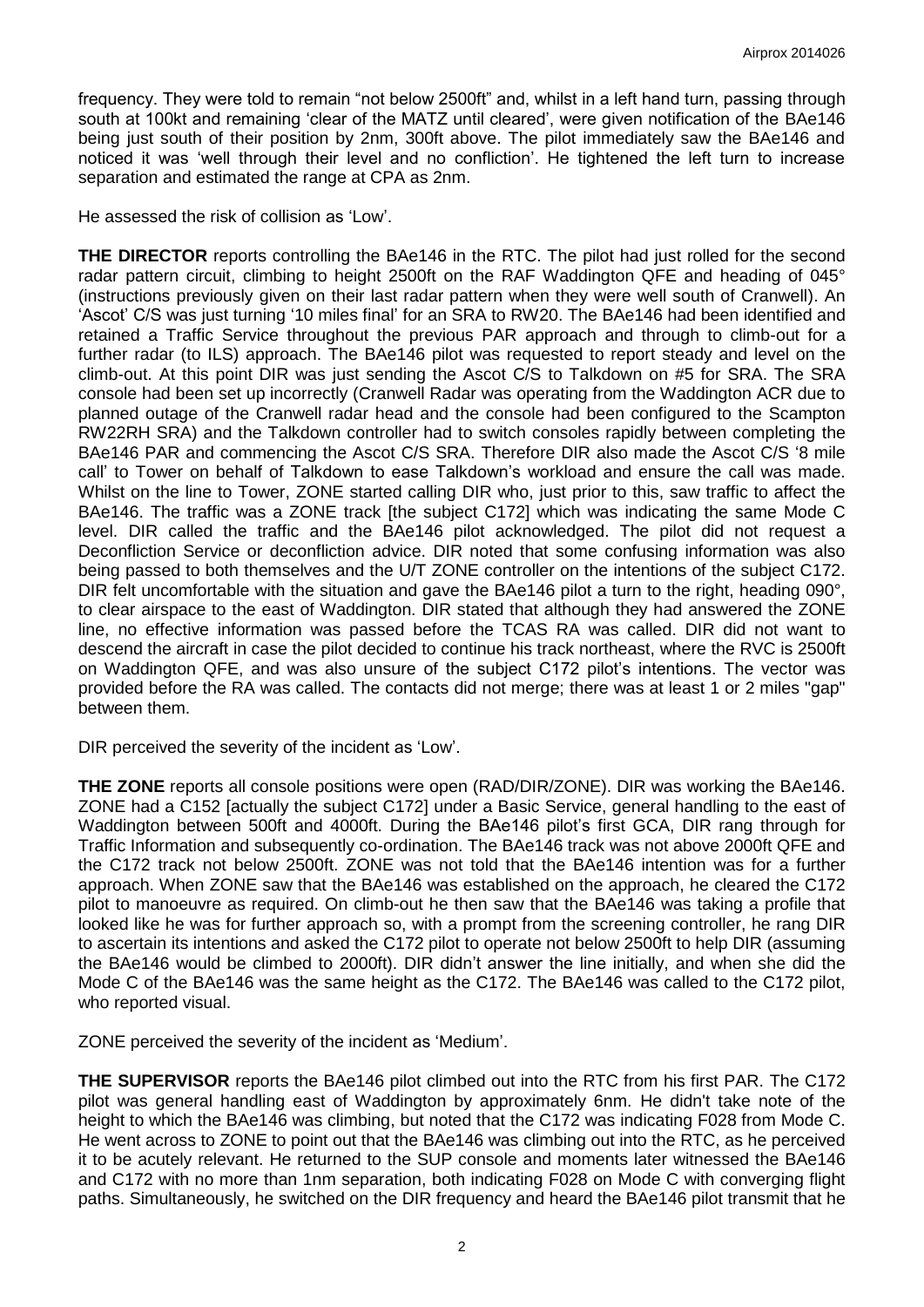frequency. They were told to remain "not below 2500ft" and, whilst in a left hand turn, passing through south at 100kt and remaining 'clear of the MATZ until cleared', were given notification of the BAe146 being just south of their position by 2nm, 300ft above. The pilot immediately saw the BAe146 and noticed it was 'well through their level and no confliction'. He tightened the left turn to increase separation and estimated the range at CPA as 2nm.

He assessed the risk of collision as 'Low'.

**THE DIRECTOR** reports controlling the BAe146 in the RTC. The pilot had just rolled for the second radar pattern circuit, climbing to height 2500ft on the RAF Waddington QFE and heading of 045° (instructions previously given on their last radar pattern when they were well south of Cranwell). An 'Ascot' C/S was just turning '10 miles final' for an SRA to RW20. The BAe146 had been identified and retained a Traffic Service throughout the previous PAR approach and through to climb-out for a further radar (to ILS) approach. The BAe146 pilot was requested to report steady and level on the climb-out. At this point DIR was just sending the Ascot C/S to Talkdown on #5 for SRA. The SRA console had been set up incorrectly (Cranwell Radar was operating from the Waddington ACR due to planned outage of the Cranwell radar head and the console had been configured to the Scampton RW22RH SRA) and the Talkdown controller had to switch consoles rapidly between completing the BAe146 PAR and commencing the Ascot C/S SRA. Therefore DIR also made the Ascot C/S '8 mile call' to Tower on behalf of Talkdown to ease Talkdown's workload and ensure the call was made. Whilst on the line to Tower, ZONE started calling DIR who, just prior to this, saw traffic to affect the BAe146. The traffic was a ZONE track [the subject C172] which was indicating the same Mode C level. DIR called the traffic and the BAe146 pilot acknowledged. The pilot did not request a Deconfliction Service or deconfliction advice. DIR noted that some confusing information was also being passed to both themselves and the U/T ZONE controller on the intentions of the subject C172. DIR felt uncomfortable with the situation and gave the BAe146 pilot a turn to the right, heading 090°. to clear airspace to the east of Waddington. DIR stated that although they had answered the ZONE line, no effective information was passed before the TCAS RA was called. DIR did not want to descend the aircraft in case the pilot decided to continue his track northeast, where the RVC is 2500ft on Waddington QFE, and was also unsure of the subject C172 pilot's intentions. The vector was provided before the RA was called. The contacts did not merge; there was at least 1 or 2 miles "gap" between them.

DIR perceived the severity of the incident as 'Low'.

**THE ZONE** reports all console positions were open (RAD/DIR/ZONE). DIR was working the BAe146. ZONE had a C152 [actually the subject C172] under a Basic Service, general handling to the east of Waddington between 500ft and 4000ft. During the BAe146 pilot's first GCA, DIR rang through for Traffic Information and subsequently co-ordination. The BAe146 track was not above 2000ft QFE and the C172 track not below 2500ft. ZONE was not told that the BAe146 intention was for a further approach. When ZONE saw that the BAe146 was established on the approach, he cleared the C172 pilot to manoeuvre as required. On climb-out he then saw that the BAe146 was taking a profile that looked like he was for further approach so, with a prompt from the screening controller, he rang DIR to ascertain its intentions and asked the C172 pilot to operate not below 2500ft to help DIR (assuming the BAe146 would be climbed to 2000ft). DIR didn't answer the line initially, and when she did the Mode C of the BAe146 was the same height as the C172. The BAe146 was called to the C172 pilot, who reported visual.

ZONE perceived the severity of the incident as 'Medium'.

**THE SUPERVISOR** reports the BAe146 pilot climbed out into the RTC from his first PAR. The C172 pilot was general handling east of Waddington by approximately 6nm. He didn't take note of the height to which the BAe146 was climbing, but noted that the C172 was indicating F028 from Mode C. He went across to ZONE to point out that the BAe146 was climbing out into the RTC, as he perceived it to be acutely relevant. He returned to the SUP console and moments later witnessed the BAe146 and C172 with no more than 1nm separation, both indicating F028 on Mode C with converging flight paths. Simultaneously, he switched on the DIR frequency and heard the BAe146 pilot transmit that he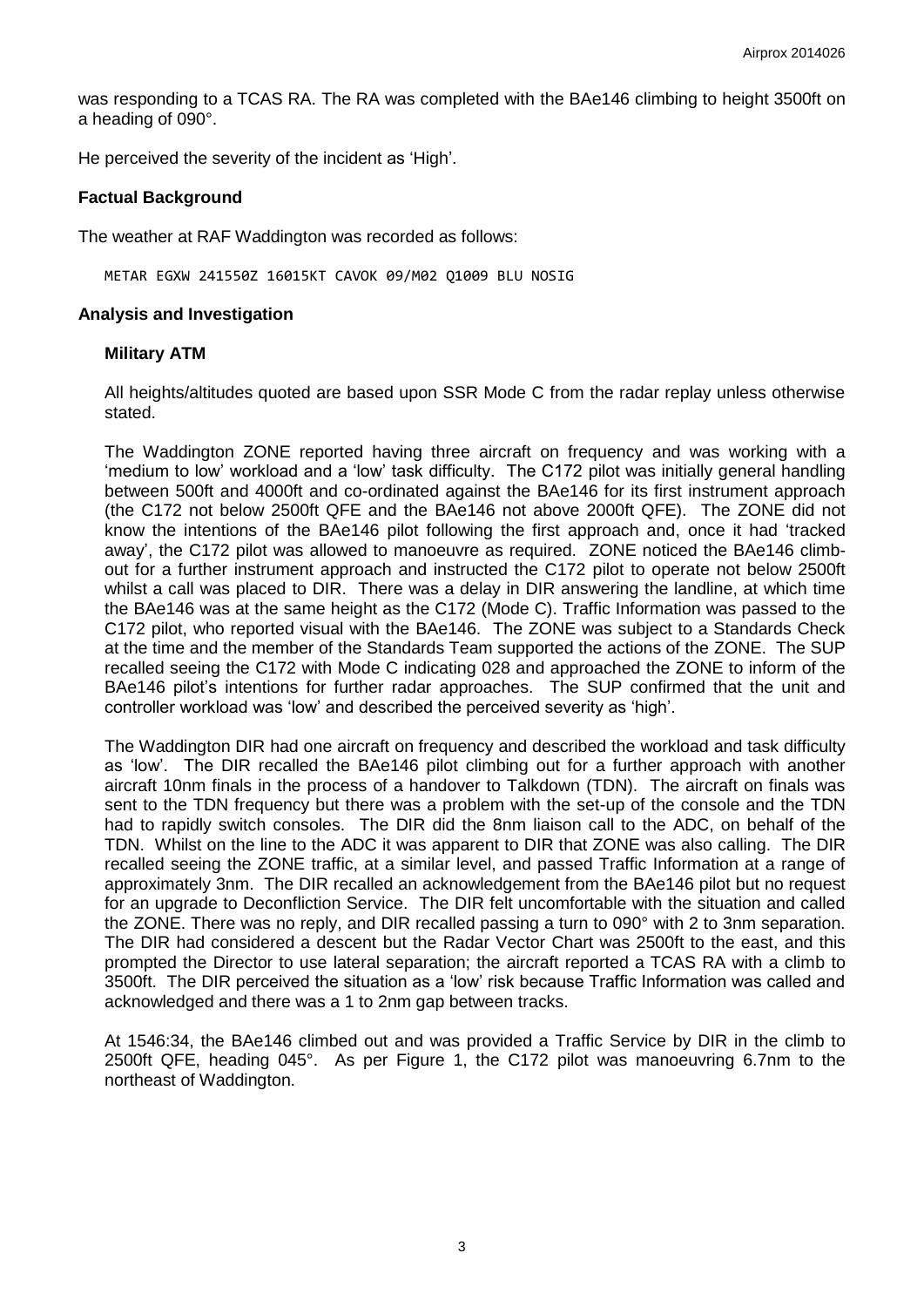was responding to a TCAS RA. The RA was completed with the BAe146 climbing to height 3500ft on a heading of 090°.

He perceived the severity of the incident as 'High'.

## **Factual Background**

The weather at RAF Waddington was recorded as follows:

METAR EGXW 241550Z 16015KT CAVOK 09/M02 Q1009 BLU NOSIG

#### **Analysis and Investigation**

#### **Military ATM**

All heights/altitudes quoted are based upon SSR Mode C from the radar replay unless otherwise stated.

The Waddington ZONE reported having three aircraft on frequency and was working with a 'medium to low' workload and a 'low' task difficulty. The C172 pilot was initially general handling between 500ft and 4000ft and co-ordinated against the BAe146 for its first instrument approach (the C172 not below 2500ft QFE and the BAe146 not above 2000ft QFE). The ZONE did not know the intentions of the BAe146 pilot following the first approach and, once it had 'tracked away', the C172 pilot was allowed to manoeuvre as required. ZONE noticed the BAe146 climbout for a further instrument approach and instructed the C172 pilot to operate not below 2500ft whilst a call was placed to DIR. There was a delay in DIR answering the landline, at which time the BAe146 was at the same height as the C172 (Mode C). Traffic Information was passed to the C172 pilot, who reported visual with the BAe146. The ZONE was subject to a Standards Check at the time and the member of the Standards Team supported the actions of the ZONE. The SUP recalled seeing the C172 with Mode C indicating 028 and approached the ZONE to inform of the BAe146 pilot's intentions for further radar approaches. The SUP confirmed that the unit and controller workload was 'low' and described the perceived severity as 'high'.

The Waddington DIR had one aircraft on frequency and described the workload and task difficulty as 'low'. The DIR recalled the BAe146 pilot climbing out for a further approach with another aircraft 10nm finals in the process of a handover to Talkdown (TDN). The aircraft on finals was sent to the TDN frequency but there was a problem with the set-up of the console and the TDN had to rapidly switch consoles. The DIR did the 8nm liaison call to the ADC, on behalf of the TDN. Whilst on the line to the ADC it was apparent to DIR that ZONE was also calling. The DIR recalled seeing the ZONE traffic, at a similar level, and passed Traffic Information at a range of approximately 3nm. The DIR recalled an acknowledgement from the BAe146 pilot but no request for an upgrade to Deconfliction Service. The DIR felt uncomfortable with the situation and called the ZONE. There was no reply, and DIR recalled passing a turn to 090° with 2 to 3nm separation. The DIR had considered a descent but the Radar Vector Chart was 2500ft to the east, and this prompted the Director to use lateral separation; the aircraft reported a TCAS RA with a climb to 3500ft. The DIR perceived the situation as a 'low' risk because Traffic Information was called and acknowledged and there was a 1 to 2nm gap between tracks.

At 1546:34, the BAe146 climbed out and was provided a Traffic Service by DIR in the climb to 2500ft QFE, heading 045°. As per Figure 1, the C172 pilot was manoeuvring 6.7nm to the northeast of Waddington.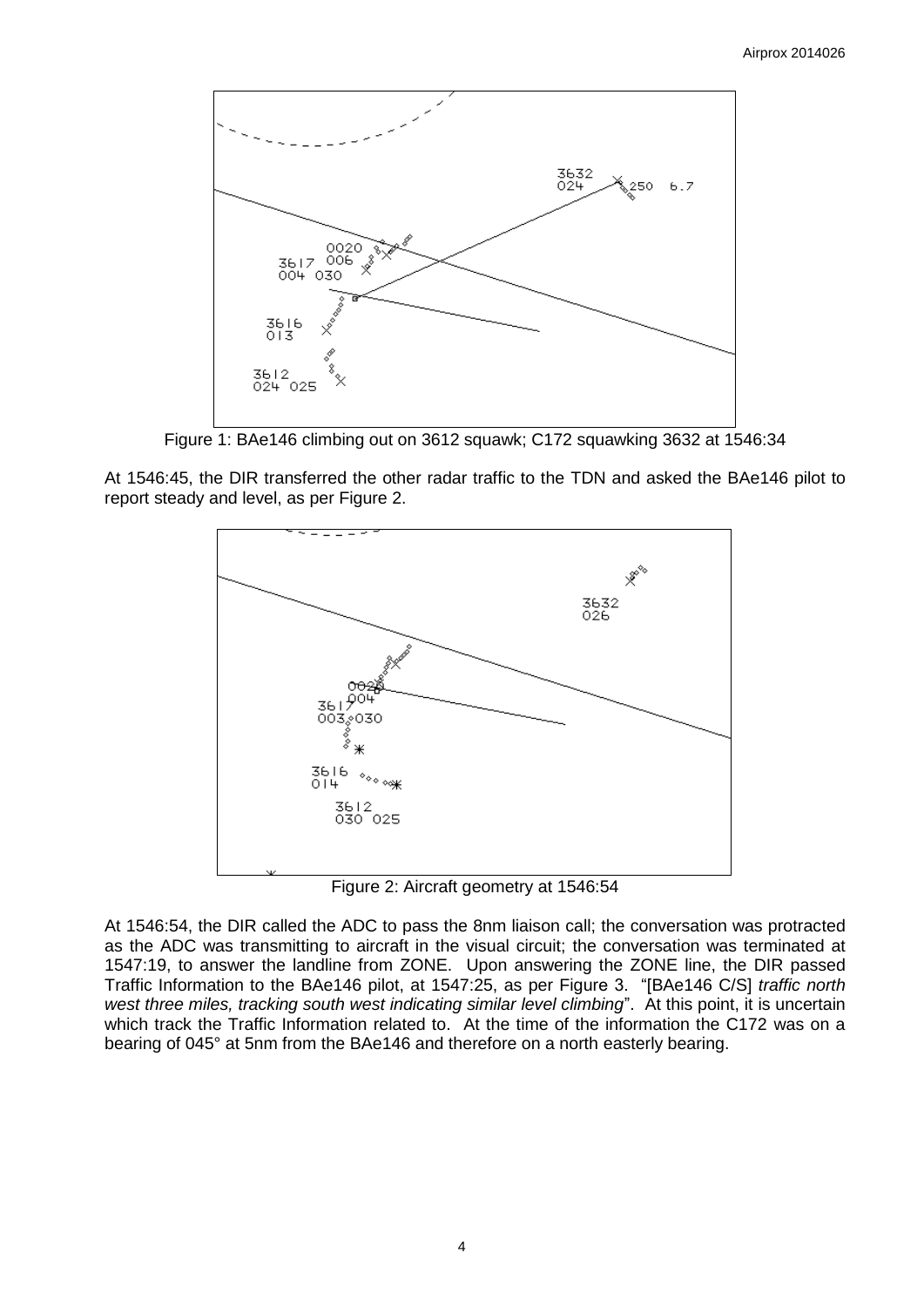

Figure 1: BAe146 climbing out on 3612 squawk; C172 squawking 3632 at 1546:34

At 1546:45, the DIR transferred the other radar traffic to the TDN and asked the BAe146 pilot to report steady and level, as per Figure 2.



Figure 2: Aircraft geometry at 1546:54

At 1546:54, the DIR called the ADC to pass the 8nm liaison call; the conversation was protracted as the ADC was transmitting to aircraft in the visual circuit; the conversation was terminated at 1547:19, to answer the landline from ZONE. Upon answering the ZONE line, the DIR passed Traffic Information to the BAe146 pilot, at 1547:25, as per Figure 3. "[BAe146 C/S] *traffic north west three miles, tracking south west indicating similar level climbing*". At this point, it is uncertain which track the Traffic Information related to. At the time of the information the C172 was on a bearing of 045° at 5nm from the BAe146 and therefore on a north easterly bearing.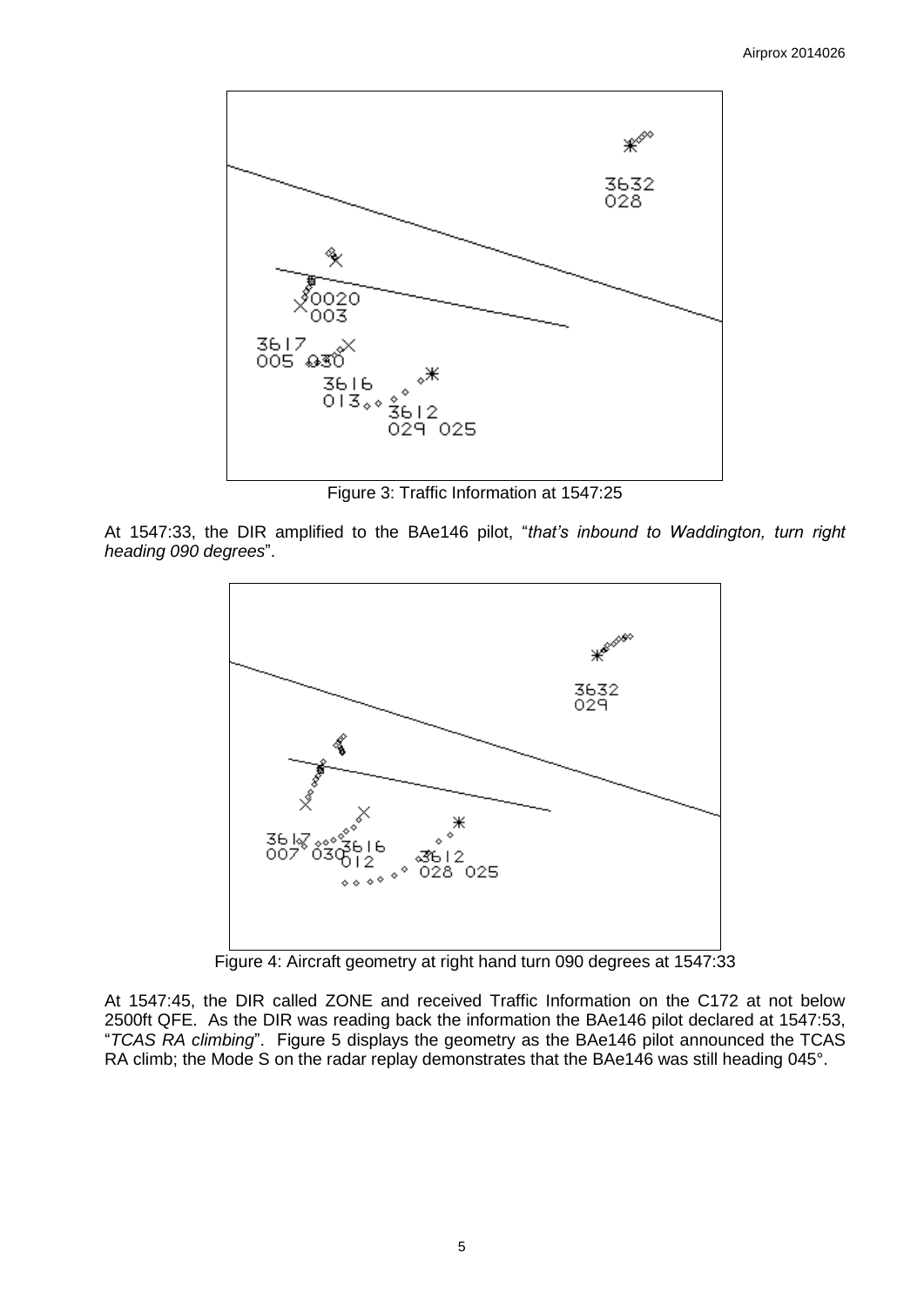

Figure 3: Traffic Information at 1547:25

At 1547:33, the DIR amplified to the BAe146 pilot, "*that's inbound to Waddington, turn right heading 090 degrees*".



Figure 4: Aircraft geometry at right hand turn 090 degrees at 1547:33

At 1547:45, the DIR called ZONE and received Traffic Information on the C172 at not below 2500ft QFE. As the DIR was reading back the information the BAe146 pilot declared at 1547:53, "*TCAS RA climbing*". Figure 5 displays the geometry as the BAe146 pilot announced the TCAS RA climb; the Mode S on the radar replay demonstrates that the BAe146 was still heading 045°.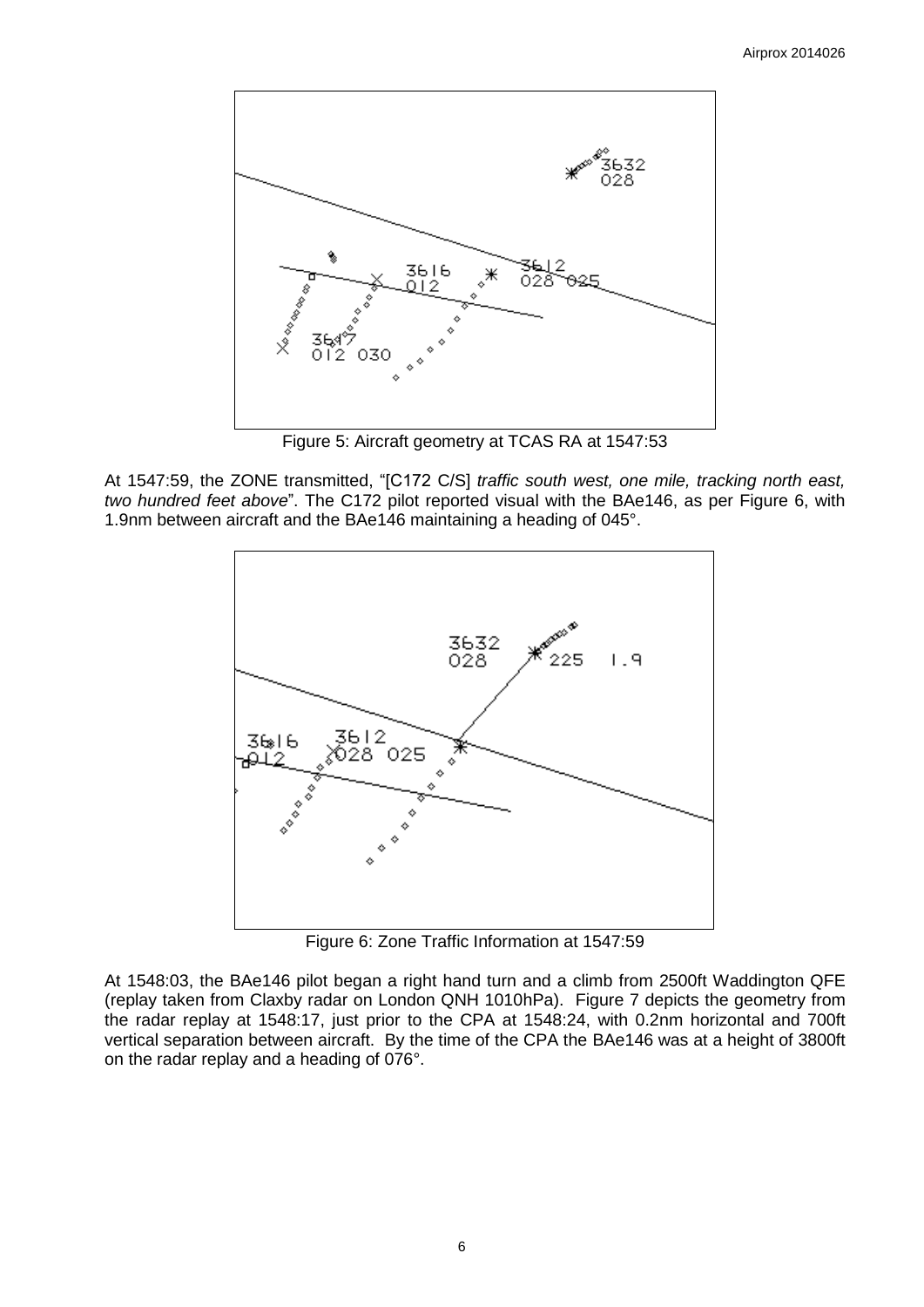

Figure 5: Aircraft geometry at TCAS RA at 1547:53

At 1547:59, the ZONE transmitted, "[C172 C/S] *traffic south west, one mile, tracking north east, two hundred feet above*". The C172 pilot reported visual with the BAe146, as per Figure 6, with 1.9nm between aircraft and the BAe146 maintaining a heading of 045°.



Figure 6: Zone Traffic Information at 1547:59

At 1548:03, the BAe146 pilot began a right hand turn and a climb from 2500ft Waddington QFE (replay taken from Claxby radar on London QNH 1010hPa). Figure 7 depicts the geometry from the radar replay at 1548:17, just prior to the CPA at 1548:24, with 0.2nm horizontal and 700ft vertical separation between aircraft. By the time of the CPA the BAe146 was at a height of 3800ft on the radar replay and a heading of 076°.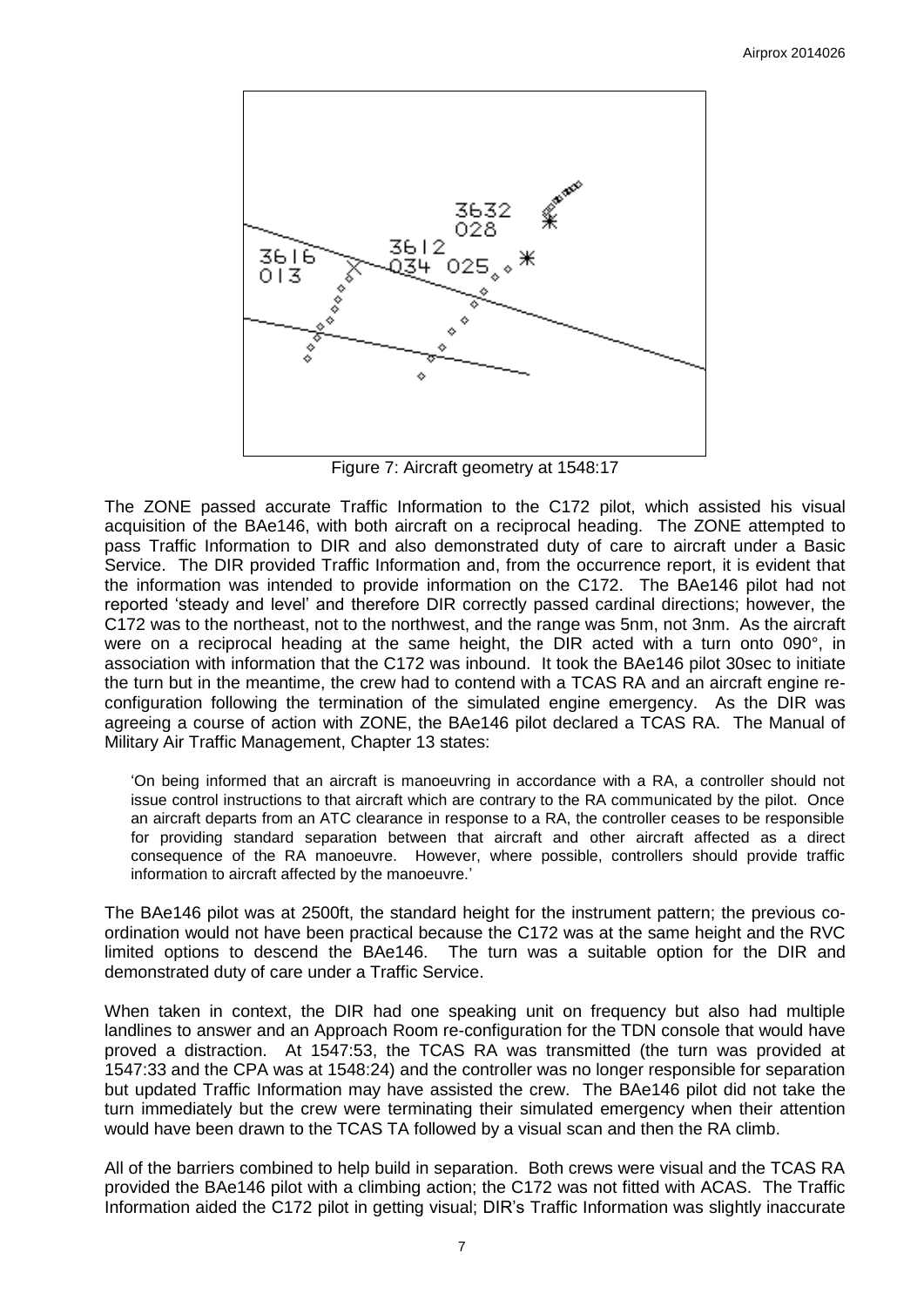

Figure 7: Aircraft geometry at 1548:17

The ZONE passed accurate Traffic Information to the C172 pilot, which assisted his visual acquisition of the BAe146, with both aircraft on a reciprocal heading. The ZONE attempted to pass Traffic Information to DIR and also demonstrated duty of care to aircraft under a Basic Service. The DIR provided Traffic Information and, from the occurrence report, it is evident that the information was intended to provide information on the C172. The BAe146 pilot had not reported 'steady and level' and therefore DIR correctly passed cardinal directions; however, the C172 was to the northeast, not to the northwest, and the range was 5nm, not 3nm. As the aircraft were on a reciprocal heading at the same height, the DIR acted with a turn onto 090°, in association with information that the C172 was inbound. It took the BAe146 pilot 30sec to initiate the turn but in the meantime, the crew had to contend with a TCAS RA and an aircraft engine reconfiguration following the termination of the simulated engine emergency. As the DIR was agreeing a course of action with ZONE, the BAe146 pilot declared a TCAS RA. The Manual of Military Air Traffic Management, Chapter 13 states:

'On being informed that an aircraft is manoeuvring in accordance with a RA, a controller should not issue control instructions to that aircraft which are contrary to the RA communicated by the pilot. Once an aircraft departs from an ATC clearance in response to a RA, the controller ceases to be responsible for providing standard separation between that aircraft and other aircraft affected as a direct consequence of the RA manoeuvre. However, where possible, controllers should provide traffic information to aircraft affected by the manoeuvre.'

The BAe146 pilot was at 2500ft, the standard height for the instrument pattern; the previous coordination would not have been practical because the C172 was at the same height and the RVC limited options to descend the BAe146. The turn was a suitable option for the DIR and demonstrated duty of care under a Traffic Service.

When taken in context, the DIR had one speaking unit on frequency but also had multiple landlines to answer and an Approach Room re-configuration for the TDN console that would have proved a distraction. At 1547:53, the TCAS RA was transmitted (the turn was provided at 1547:33 and the CPA was at 1548:24) and the controller was no longer responsible for separation but updated Traffic Information may have assisted the crew. The BAe146 pilot did not take the turn immediately but the crew were terminating their simulated emergency when their attention would have been drawn to the TCAS TA followed by a visual scan and then the RA climb.

All of the barriers combined to help build in separation. Both crews were visual and the TCAS RA provided the BAe146 pilot with a climbing action; the C172 was not fitted with ACAS. The Traffic Information aided the C172 pilot in getting visual; DIR's Traffic Information was slightly inaccurate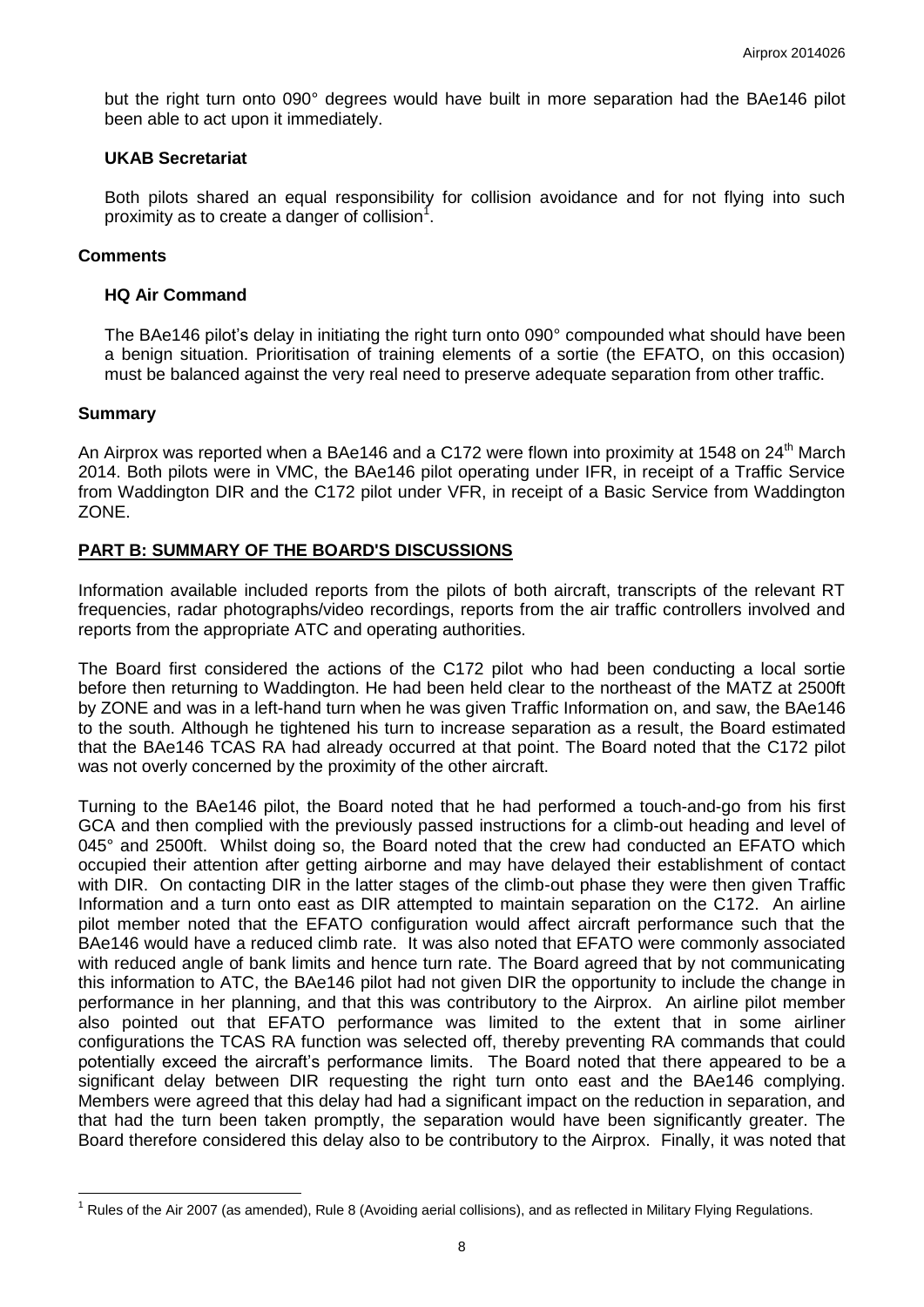but the right turn onto 090° degrees would have built in more separation had the BAe146 pilot been able to act upon it immediately.

## **UKAB Secretariat**

Both pilots shared an equal responsibility for collision avoidance and for not flying into such proximity as to create a danger of collision<sup>1</sup>.

# **Comments**

## **HQ Air Command**

The BAe146 pilot's delay in initiating the right turn onto 090° compounded what should have been a benign situation. Prioritisation of training elements of a sortie (the EFATO, on this occasion) must be balanced against the very real need to preserve adequate separation from other traffic.

## **Summary**

 $\overline{a}$ 

An Airprox was reported when a BAe146 and a C172 were flown into proximity at 1548 on 24<sup>th</sup> March 2014. Both pilots were in VMC, the BAe146 pilot operating under IFR, in receipt of a Traffic Service from Waddington DIR and the C172 pilot under VFR, in receipt of a Basic Service from Waddington ZONE.

# **PART B: SUMMARY OF THE BOARD'S DISCUSSIONS**

Information available included reports from the pilots of both aircraft, transcripts of the relevant RT frequencies, radar photographs/video recordings, reports from the air traffic controllers involved and reports from the appropriate ATC and operating authorities.

The Board first considered the actions of the C172 pilot who had been conducting a local sortie before then returning to Waddington. He had been held clear to the northeast of the MATZ at 2500ft by ZONE and was in a left-hand turn when he was given Traffic Information on, and saw, the BAe146 to the south. Although he tightened his turn to increase separation as a result, the Board estimated that the BAe146 TCAS RA had already occurred at that point. The Board noted that the C172 pilot was not overly concerned by the proximity of the other aircraft.

Turning to the BAe146 pilot, the Board noted that he had performed a touch-and-go from his first GCA and then complied with the previously passed instructions for a climb-out heading and level of 045° and 2500ft. Whilst doing so, the Board noted that the crew had conducted an EFATO which occupied their attention after getting airborne and may have delayed their establishment of contact with DIR. On contacting DIR in the latter stages of the climb-out phase they were then given Traffic Information and a turn onto east as DIR attempted to maintain separation on the C172. An airline pilot member noted that the EFATO configuration would affect aircraft performance such that the BAe146 would have a reduced climb rate. It was also noted that EFATO were commonly associated with reduced angle of bank limits and hence turn rate. The Board agreed that by not communicating this information to ATC, the BAe146 pilot had not given DIR the opportunity to include the change in performance in her planning, and that this was contributory to the Airprox. An airline pilot member also pointed out that EFATO performance was limited to the extent that in some airliner configurations the TCAS RA function was selected off, thereby preventing RA commands that could potentially exceed the aircraft's performance limits. The Board noted that there appeared to be a significant delay between DIR requesting the right turn onto east and the BAe146 complying. Members were agreed that this delay had had a significant impact on the reduction in separation, and that had the turn been taken promptly, the separation would have been significantly greater. The Board therefore considered this delay also to be contributory to the Airprox. Finally, it was noted that

 $1$  Rules of the Air 2007 (as amended), Rule 8 (Avoiding aerial collisions), and as reflected in Military Flying Regulations.